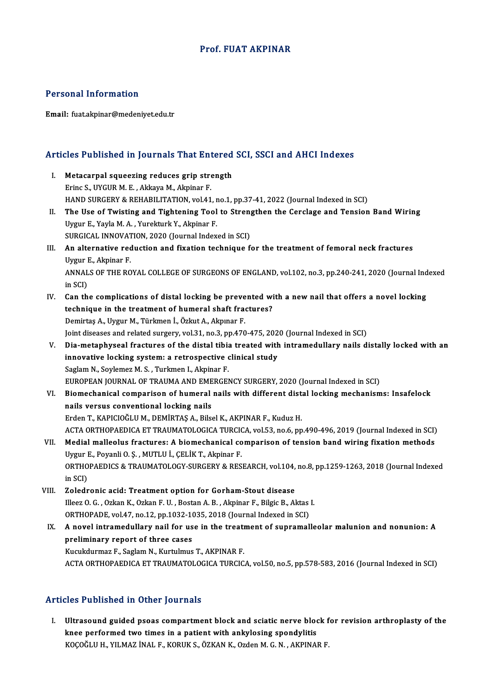### Prof. FUAT AKPINAR

### Personal Information

Email: fuat.akpinar@medeniyet.edu.tr

# Articles Published in Journals That Entered SCI, SSCI and AHCI Indexes

- **Tricles Published in Journals That Entered**<br>I. Metacarpal squeezing reduces grip strength<br>Frinc S. UVCUB M.E. Altrava M. Alminar E. I. Metacarpal squeezing reduces grip strength<br>Erinc S., UYGUR M. E., Akkaya M., Akpinar F. HAND SURGERY & REHABILITATION, vol.41, no.1, pp.37-41, 2022 (Journal Indexed in SCI) Erinc S., UYGUR M. E. , Akkaya M., Akpinar F.<br>HAND SURGERY & REHABILITATION, vol.41, no.1, pp.37-41, 2022 (Journal Indexed in SCI)<br>II. The Use of Twisting and Tightening Tool to Strengthen the Cerclage and Tension Band Wir
- HAND SURGERY & REHABILITATION, vol.41, r<br>The Use of Twisting and Tightening Tool<br>Uygur E., Yayla M. A. , Yurekturk Y., Akpinar F.<br>SURCICAL INNOVATION 2020 (Journal Indov The Use of Twisting and Tightening Tool to Stren<sub>!</sub><br>Uygur E., Yayla M. A. , Yurekturk Y., Akpinar F.<br>SURGICAL INNOVATION, 2020 (Journal Indexed in SCI)<br>An elternative reduction and fixation technique f Uygur E., Yayla M. A. , Yurekturk Y., Akpinar F.<br>SURGICAL INNOVATION, 2020 (Journal Indexed in SCI)<br>III. An alternative reduction and fixation technique for the treatment of femoral neck fractures<br>Uygur E., Akpinar F. SURGICAL INNOVATION, 2020 (Journal Indexed in SCI)
- An alternative reduction and fixation technique for the treatment of femoral neck fractures<br>Uygur E., Akpinar F.<br>ANNALS OF THE ROYAL COLLEGE OF SURGEONS OF ENGLAND, vol.102, no.3, pp.240-241, 2020 (Journal Indexed<br>in SCD Uygur I<br>ANNAL<br>in SCI)<br>Can th ANNALS OF THE ROYAL COLLEGE OF SURGEONS OF ENGLAND, vol.102, no.3, pp.240-241, 2020 (Journal Ind<br>in SCI)<br>IV. Can the complications of distal locking be prevented with a new nail that offers a novel locking<br>tochnique in the
- in SCI)<br>Can the complications of distal locking be prevented wi<br>technique in the treatment of humeral shaft fractures?<br>Domintes A. Hygun M. Türkmen İ. Özlut A. Almuna E. technique in the treatment of humeral shaft fractures?<br>Demirtaş A., Uygur M., Türkmen İ., Özkut A., Akpınar F. technique in the treatment of humeral shaft fractures?<br>Demirtaş A., Uygur M., Türkmen İ., Özkut A., Akpınar F.<br>Joint diseases and related surgery, vol.31, no.3, pp.470-475, 2020 (Journal Indexed in SCI)<br>Die metaphyseel fra

- Demirtaş A., Uygur M., Türkmen İ., Özkut A., Akpınar F.<br>Joint diseases and related surgery, vol.31, no.3, pp.470-475, 2020 (Journal Indexed in SCI)<br>V. Dia-metaphyseal fractures of the distal tibia treated with intramed Joint diseases and related surgery, vol.31, no.3, pp.470-475, 202<br>Dia-metaphyseal fractures of the distal tibia treated with<br>innovative locking system: a retrospective clinical study<br>Saglam N. Saylamaz M. S. Turkman L. Alm Dia-metaphyseal fractures of the distal tibia<br>innovative locking system: a retrospective of<br>Saglam N., Soylemez M. S. , Turkmen I., Akpinar F.<br>FUROPEAN JOURNAL OF TRAUMA AND EMERCEL innovative locking system: a retrospective clinical study<br>Saglam N., Soylemez M. S. , Turkmen I., Akpinar F.<br>EUROPEAN JOURNAL OF TRAUMA AND EMERGENCY SURGERY, 2020 (Journal Indexed in SCI)<br>Piemechanical comparison of bumer Saglam N., Soylemez M. S. , Turkmen I., Akpinar F.<br>EUROPEAN JOURNAL OF TRAUMA AND EMERGENCY SURGERY, 2020 (Journal Indexed in SCI)<br>VI. Biomechanical comparison of humeral nails with different distal locking mechanisms: Ins
- EUROPEAN JOURNAL OF TRAUMA AND EME<br>Biomechanical comparison of humeral<br>nails versus conventional locking nails<br>Erden T. KABICIOČLUM, DEMIPTAS A. Bile Biomechanical comparison of humeral nails with different dist<br>nails versus conventional locking nails<br>Erden T., KAPICIOĞLU M., DEMİRTAŞ A., Bilsel K., AKPINAR F., Kuduz H.<br>ACTA OPTHORAEDICA ET TRAUMATOLOCICA TURCICA YOL52 nails versus conventional locking nails<br>Erden T., KAPICIOĞLU M., DEMİRTAŞ A., Bilsel K., AKPINAR F., Kuduz H.<br>ACTA ORTHOPAEDICA ET TRAUMATOLOGICA TURCICA, vol.53, no.6, pp.490-496, 2019 (Journal Indexed in SCI)<br>Medial mall
- Erden T., KAPICIOĞLU M., DEMİRTAŞ A., Bilsel K., AKPINAR F., Kuduz H.<br>ACTA ORTHOPAEDICA ET TRAUMATOLOGICA TURCICA, vol.53, no.6, pp.490-496, 2019 (Journal Indexed in SCI)<br>VII. Medial malleolus fractures: A biomechanical co ACTA ORTHOPAEDICA ET TRAUMATOLOGICA TURCION CHALIBOLUS fractures: A biomechanical condition of the production of the production of the production of the production of the production of the production of the production of t Medial malleolus fractures: A biomechanical comparison of tension band wiring fixation methods<br>Uygur E., Poyanli O. Ș. , MUTLU İ., ÇELİK T., Akpinar F.<br>ORTHOPAEDICS & TRAUMATOLOGY-SURGERY & RESEARCH, vol.104, no.8, pp.1259 Uygur I<br>ORTHO<br>in SCI)<br>Zolodr
- in SCI)<br>VIII. Zoledronic acid: Treatment option for Gorham-Stout disease in SCI)<br>Zoledronic acid: Treatment option for Gorham-Stout disease<br>Illeez O. G. , Ozkan K., Ozkan F. U. , Bostan A. B. , Akpinar F., Bilgic B., Aktas I.<br>OPTHOPADE vel 47, no 12, nn 1022-1025, 2018 (Journal Indoved in SCD) Zoledronic acid: Treatment option for Gorham-Stout disease<br>Illeez O. G. , Ozkan K., Ozkan F. U. , Bostan A. B. , Akpinar F., Bilgic B., Aktas<br>ORTHOPADE, vol.47, no.12, pp.1032-1035, 2018 (Journal Indexed in SCI)<br>A novel in
- Illeez O. G. , Ozkan K., Ozkan F. U. , Bostan A. B. , Akpinar F., Bilgic B., Aktas I.<br>ORTHOPADE, vol.47, no.12, pp.1032-1035, 2018 (Journal Indexed in SCI)<br>IX. A novel intramedullary nail for use in the treatment of supram ORTHOPADE, vol.47, no.12, pp.1032-1035, 2018 (Journal Indexed in SCI)<br>A novel intramedullary nail for use in the treatment of supramal<br>preliminary report of three cases<br>Kucukdurmaz F., Saglam N., Kurtulmus T., AKPINAR F. A novel intramedullary nail for use in the treat<br>preliminary report of three cases<br>Kucukdurmaz F., Saglam N., Kurtulmus T., AKPINAR F.<br>ACTA OPTHORAEDICA ET TRAUMATOLOCICA TURCIC ACTAORTHOPAEDICAETTRAUMATOLOGICATURCICA,vol.50,no.5,pp.578-583,2016 (Journal Indexed inSCI)

# Articles Published in Other Journals

I. Ultrasound guided psoas compartment block and sciatic nerve block for revision arthroplasty of the<br>I. Ultrasound guided psoas compartment block and sciatic nerve block for revision arthroplasty of the kkee performed the ether jearnament block and sciatic nerve block<br>knee performed two times in a patient with ankylosing spondylitis<br>KOCOČLU HUVILMAZINALE KORUKS ÖZKAN KUOTOR M.C.N. AKRINAL knee performed two times in a patient with ankylosing spondylitis<br>KOÇOĞLU H., YILMAZ İNAL F., KORUK S., ÖZKAN K., Ozden M. G. N. , AKPINAR F.